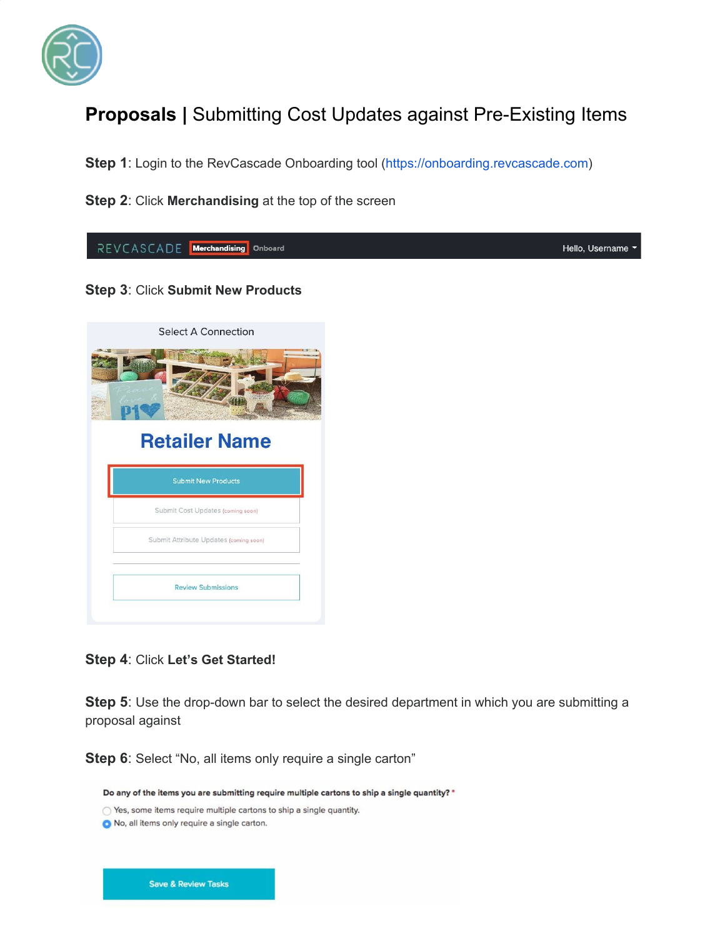

## **Proposals |** Submitting Cost Updates against Pre-Existing Items

**Step 1**: Login to the RevCascade Onboarding tool ([https://onboarding.revcascade.com\)](https://onboarding.revcascade.com/)

**Step 2**: Click **Merchandising** at the top of the screen



**Step 4**: Click **Let's Get Started!**

**Step 5**: Use the drop-down bar to select the desired department in which you are submitting a proposal against

**Step 6**: Select "No, all items only require a single carton"

Do any of the items you are submitting require multiple cartons to ship a single quantity? \*

◯ Yes, some items require multiple cartons to ship a single quantity.

No, all items only require a single carton.

**Save & Review Tasks**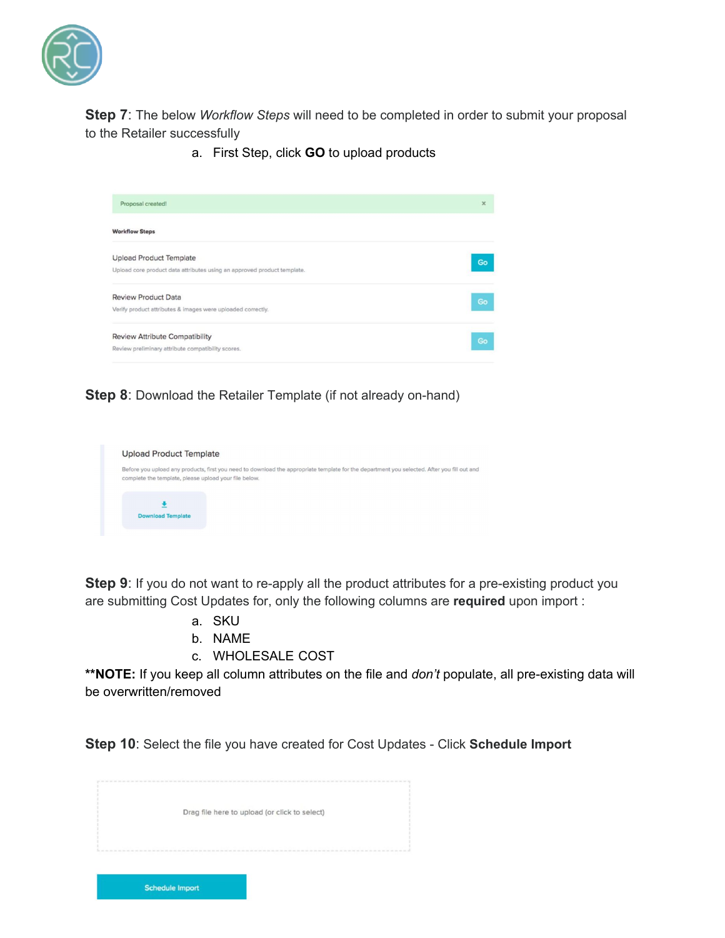

**Step 7**: The below *Workflow Steps* will need to be completed in order to submit your proposal to the Retailer successfully

a. First Step, click **GO** to upload products



**Step 8**: Download the Retailer Template (if not already on-hand)



**Step 9:** If you do not want to re-apply all the product attributes for a pre-existing product you are submitting Cost Updates for, only the following columns are **required** upon import :

- a. SKU
- b. NAME
- c. WHOLESALE COST

**\*\*NOTE:** If you keep all column attributes on the file and *don't* populate, all pre-existing data will be overwritten/removed

**Step 10**: Select the file you have created for Cost Updates - Click **Schedule Import**

| Drag file here to upload (or click to select) |  |
|-----------------------------------------------|--|
|                                               |  |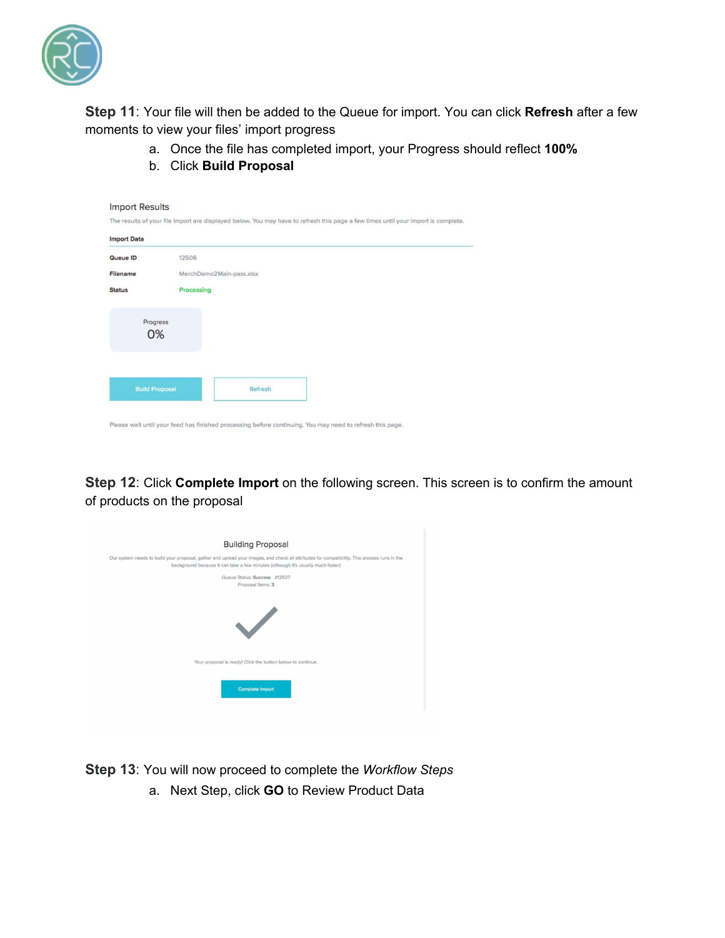

**Step 11**: Your file will then be added to the Queue for import. You can click **Refresh** after a few moments to view your files' import progress

- a. Once the file has completed import, your Progress should reflect **100%**
- b. Click **Build Proposal**

| <b>Import Data</b> |                          |  |
|--------------------|--------------------------|--|
| Queue ID           | 12506                    |  |
| Filename           | MerchDemo2Main-pass.xlsx |  |
| <b>Status</b>      | Processing               |  |
|                    | Progress<br>0%           |  |
|                    |                          |  |

**Step 12**: Click **Complete Import** on the following screen. This screen is to confirm the amount of products on the proposal

| <b>Building Proposal</b>                                                                                                                                                                                                         |
|----------------------------------------------------------------------------------------------------------------------------------------------------------------------------------------------------------------------------------|
| Our system needs to build your proposal, gather and upload your images, and check all attributes for compatibility. This process runs in the<br>background because it can take a few minutes (although it's usually much faster) |
| Queue Status: Success #12507<br>Proposal Items: 3                                                                                                                                                                                |
| $\checkmark$                                                                                                                                                                                                                     |
| Your proposal is ready! Click the button below to continue.                                                                                                                                                                      |
| <b>Complete Import</b>                                                                                                                                                                                                           |

**Step 13**: You will now proceed to complete the *Workflow Steps*

a. Next Step, click **GO** to Review Product Data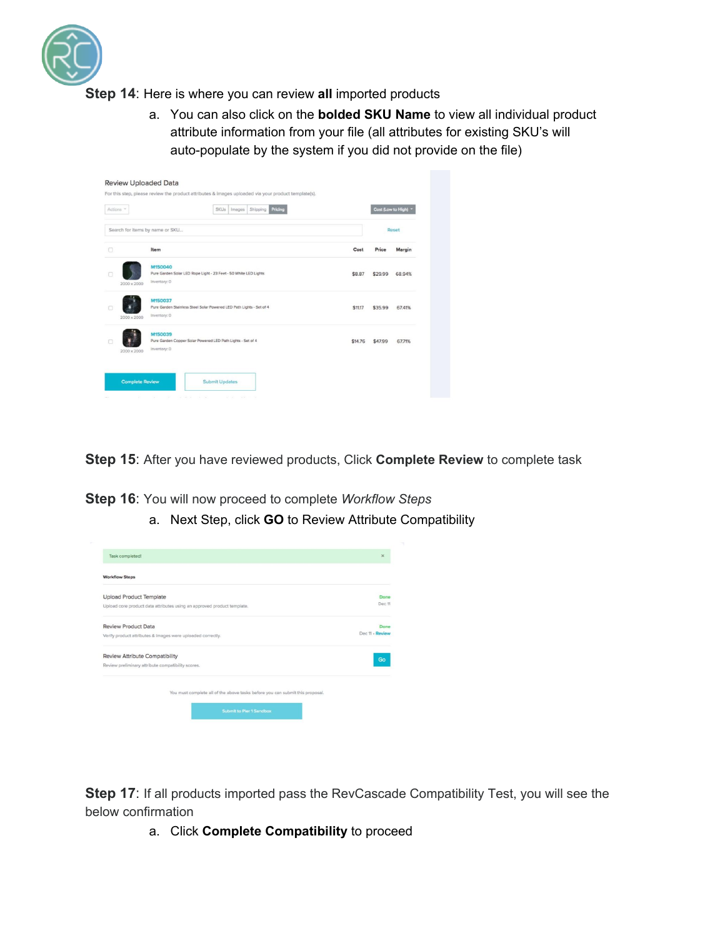

**Step 14**: Here is where you can review **all** imported products

a. You can also click on the **bolded SKU Name** to view all individual product attribute information from your file (all attributes for existing SKU's will auto-populate by the system if you did not provide on the file)

| Actions *   | Pricing<br>Shipping<br><b>SKUs</b><br>Images                                                    |         | Cost (Low to High) |              |
|-------------|-------------------------------------------------------------------------------------------------|---------|--------------------|--------------|
|             | Search for items by name or SKU                                                                 |         |                    | <b>Reset</b> |
| $\Box$      | Item                                                                                            | Cost    | Price              | Margin       |
| 2000 x 2000 | M150040<br>Pure Garden Solar LED Rope Light - 23 Feet - 50 White LED Lights<br>Inventory: 0     | \$8.87  | \$29.99            | 68.94%       |
| 2000 x 2000 | M150037<br>Pure Garden Stainless Steel Solar Powered LED Path Lights - Set of 4<br>Inventory: 0 | \$11.17 | \$35.99            | 67.41%       |
| 2000 x 2000 | M150039<br>Pure Garden Copper Solar Powered LED Path Lights - Set of 4<br>Inventory: 0          | \$14.76 | \$47.99            | 67.71%       |

**Step 15**: After you have reviewed products, Click **Complete Review** to complete task

**Step 16**: You will now proceed to complete *Workflow Steps*

a. Next Step, click **GO** to Review Attribute Compatibility

| Task completed!                                                               | $\times$        |
|-------------------------------------------------------------------------------|-----------------|
| <b>Workflow Steps</b>                                                         |                 |
| <b>Upload Product Template</b>                                                | Done            |
| Upload core product data attributes using an approved product template.       | Dec 11          |
| <b>Review Product Data</b>                                                    | Done            |
| Verify product attributes & images were uploaded correctly.                   | Dec 11 - Review |
| <b>Review Attribute Compatibility</b>                                         | Go              |
| Review preliminary attribute compatibility scores.                            |                 |
| You must complete all of the above tasks before you can submit this proposal. |                 |
| <b>Submit to Pier 1 Sandbox</b>                                               |                 |
|                                                                               |                 |

**Step 17:** If all products imported pass the RevCascade Compatibility Test, you will see the below confirmation

a. Click **Complete Compatibility** to proceed